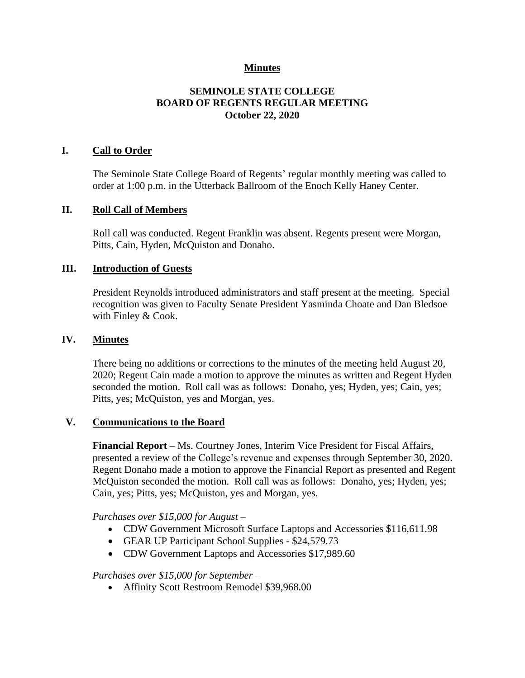## **Minutes**

## **SEMINOLE STATE COLLEGE BOARD OF REGENTS REGULAR MEETING October 22, 2020**

### **I. Call to Order**

The Seminole State College Board of Regents' regular monthly meeting was called to order at 1:00 p.m. in the Utterback Ballroom of the Enoch Kelly Haney Center.

#### **II. Roll Call of Members**

Roll call was conducted. Regent Franklin was absent. Regents present were Morgan, Pitts, Cain, Hyden, McQuiston and Donaho.

### **III. Introduction of Guests**

President Reynolds introduced administrators and staff present at the meeting. Special recognition was given to Faculty Senate President Yasminda Choate and Dan Bledsoe with Finley & Cook.

### **IV. Minutes**

There being no additions or corrections to the minutes of the meeting held August 20, 2020; Regent Cain made a motion to approve the minutes as written and Regent Hyden seconded the motion. Roll call was as follows: Donaho, yes; Hyden, yes; Cain, yes; Pitts, yes; McQuiston, yes and Morgan, yes.

### **V. Communications to the Board**

**Financial Report** – Ms. Courtney Jones, Interim Vice President for Fiscal Affairs, presented a review of the College's revenue and expenses through September 30, 2020. Regent Donaho made a motion to approve the Financial Report as presented and Regent McQuiston seconded the motion. Roll call was as follows: Donaho, yes; Hyden, yes; Cain, yes; Pitts, yes; McQuiston, yes and Morgan, yes.

#### *Purchases over \$15,000 for August –*

- CDW Government Microsoft Surface Laptops and Accessories \$116,611.98
- GEAR UP Participant School Supplies \$24,579.73
- CDW Government Laptops and Accessories \$17,989.60

#### *Purchases over \$15,000 for September –*

• Affinity Scott Restroom Remodel \$39,968.00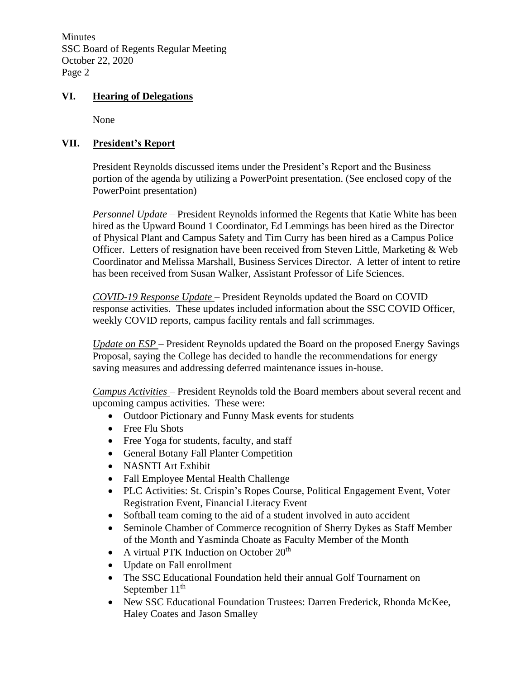Minutes SSC Board of Regents Regular Meeting October 22, 2020 Page 2

## **VI. Hearing of Delegations**

None

## **VII. President's Report**

President Reynolds discussed items under the President's Report and the Business portion of the agenda by utilizing a PowerPoint presentation. (See enclosed copy of the PowerPoint presentation)

*Personnel Update* – President Reynolds informed the Regents that Katie White has been hired as the Upward Bound 1 Coordinator, Ed Lemmings has been hired as the Director of Physical Plant and Campus Safety and Tim Curry has been hired as a Campus Police Officer. Letters of resignation have been received from Steven Little, Marketing & Web Coordinator and Melissa Marshall, Business Services Director. A letter of intent to retire has been received from Susan Walker, Assistant Professor of Life Sciences.

*COVID-19 Response Update* – President Reynolds updated the Board on COVID response activities. These updates included information about the SSC COVID Officer, weekly COVID reports, campus facility rentals and fall scrimmages.

*Update on ESP* – President Reynolds updated the Board on the proposed Energy Savings Proposal, saying the College has decided to handle the recommendations for energy saving measures and addressing deferred maintenance issues in-house.

*Campus Activities* – President Reynolds told the Board members about several recent and upcoming campus activities. These were:

- Outdoor Pictionary and Funny Mask events for students
- Free Flu Shots
- Free Yoga for students, faculty, and staff
- General Botany Fall Planter Competition
- NASNTI Art Exhibit
- Fall Employee Mental Health Challenge
- PLC Activities: St. Crispin's Ropes Course, Political Engagement Event, Voter Registration Event, Financial Literacy Event
- Softball team coming to the aid of a student involved in auto accident
- Seminole Chamber of Commerce recognition of Sherry Dykes as Staff Member of the Month and Yasminda Choate as Faculty Member of the Month
- A virtual PTK Induction on October 20<sup>th</sup>
- Update on Fall enrollment
- The SSC Educational Foundation held their annual Golf Tournament on September  $11<sup>th</sup>$
- New SSC Educational Foundation Trustees: Darren Frederick, Rhonda McKee, Haley Coates and Jason Smalley